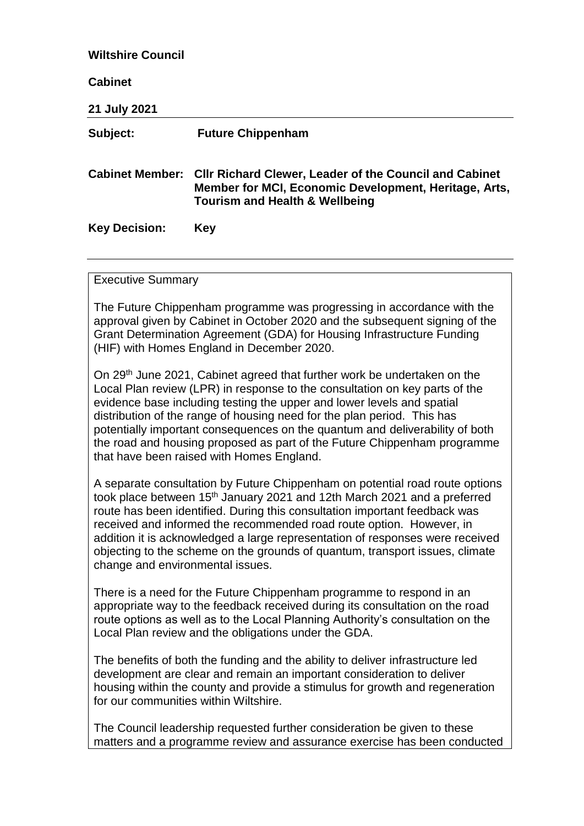| <b>Wiltshire Council</b><br><b>Cabinet</b>                                                                                                                                                                                                                                                                                                                                                                                                                                                                                                                                      |     |  |                          |                                                                                                                                                                              |
|---------------------------------------------------------------------------------------------------------------------------------------------------------------------------------------------------------------------------------------------------------------------------------------------------------------------------------------------------------------------------------------------------------------------------------------------------------------------------------------------------------------------------------------------------------------------------------|-----|--|--------------------------|------------------------------------------------------------------------------------------------------------------------------------------------------------------------------|
|                                                                                                                                                                                                                                                                                                                                                                                                                                                                                                                                                                                 |     |  | 21 July 2021<br>Subject: | <b>Future Chippenham</b>                                                                                                                                                     |
|                                                                                                                                                                                                                                                                                                                                                                                                                                                                                                                                                                                 |     |  |                          | Cabinet Member: Cllr Richard Clewer, Leader of the Council and Cabinet<br>Member for MCI, Economic Development, Heritage, Arts,<br><b>Tourism and Health &amp; Wellbeing</b> |
| <b>Key Decision:</b>                                                                                                                                                                                                                                                                                                                                                                                                                                                                                                                                                            | Key |  |                          |                                                                                                                                                                              |
| <b>Executive Summary</b><br>The Future Chippenham programme was progressing in accordance with the<br>approval given by Cabinet in October 2020 and the subsequent signing of the<br>Grant Determination Agreement (GDA) for Housing Infrastructure Funding                                                                                                                                                                                                                                                                                                                     |     |  |                          |                                                                                                                                                                              |
| (HIF) with Homes England in December 2020.<br>On 29 <sup>th</sup> June 2021, Cabinet agreed that further work be undertaken on the<br>Local Plan review (LPR) in response to the consultation on key parts of the<br>evidence base including testing the upper and lower levels and spatial<br>distribution of the range of housing need for the plan period. This has<br>potentially important consequences on the quantum and deliverability of both<br>the road and housing proposed as part of the Future Chippenham programme<br>that have been raised with Homes England. |     |  |                          |                                                                                                                                                                              |
| A separate consultation by Future Chippenham on potential road route options<br>took place between 15 <sup>th</sup> January 2021 and 12th March 2021 and a preferred<br>route has been identified. During this consultation important feedback was<br>received and informed the recommended road route option. However, in<br>addition it is acknowledged a large representation of responses were received<br>objecting to the scheme on the grounds of quantum, transport issues, climate<br>change and environmental issues.                                                 |     |  |                          |                                                                                                                                                                              |
| There is a need for the Future Chippenham programme to respond in an<br>appropriate way to the feedback received during its consultation on the road<br>route options as well as to the Local Planning Authority's consultation on the<br>Local Plan review and the obligations under the GDA.                                                                                                                                                                                                                                                                                  |     |  |                          |                                                                                                                                                                              |
| The benefits of both the funding and the ability to deliver infrastructure led<br>development are clear and remain an important consideration to deliver<br>housing within the county and provide a stimulus for growth and regeneration<br>for our communities within Wiltshire.                                                                                                                                                                                                                                                                                               |     |  |                          |                                                                                                                                                                              |
| The Council leadership requested further consideration be given to these<br>matters and a programme review and assurance exercise has been conducted                                                                                                                                                                                                                                                                                                                                                                                                                            |     |  |                          |                                                                                                                                                                              |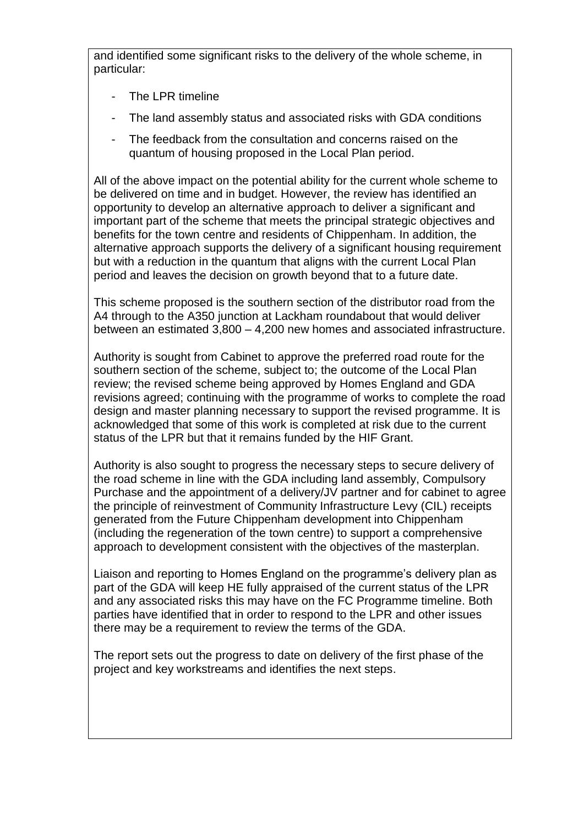and identified some significant risks to the delivery of the whole scheme, in particular:

- The LPR timeline
- The land assembly status and associated risks with GDA conditions
- The feedback from the consultation and concerns raised on the quantum of housing proposed in the Local Plan period.

All of the above impact on the potential ability for the current whole scheme to be delivered on time and in budget. However, the review has identified an opportunity to develop an alternative approach to deliver a significant and important part of the scheme that meets the principal strategic objectives and benefits for the town centre and residents of Chippenham. In addition, the alternative approach supports the delivery of a significant housing requirement but with a reduction in the quantum that aligns with the current Local Plan period and leaves the decision on growth beyond that to a future date.

This scheme proposed is the southern section of the distributor road from the A4 through to the A350 junction at Lackham roundabout that would deliver between an estimated 3,800 – 4,200 new homes and associated infrastructure.

Authority is sought from Cabinet to approve the preferred road route for the southern section of the scheme, subject to; the outcome of the Local Plan review; the revised scheme being approved by Homes England and GDA revisions agreed; continuing with the programme of works to complete the road design and master planning necessary to support the revised programme. It is acknowledged that some of this work is completed at risk due to the current status of the LPR but that it remains funded by the HIF Grant.

Authority is also sought to progress the necessary steps to secure delivery of the road scheme in line with the GDA including land assembly, Compulsory Purchase and the appointment of a delivery/JV partner and for cabinet to agree the principle of reinvestment of Community Infrastructure Levy (CIL) receipts generated from the Future Chippenham development into Chippenham (including the regeneration of the town centre) to support a comprehensive approach to development consistent with the objectives of the masterplan.

Liaison and reporting to Homes England on the programme's delivery plan as part of the GDA will keep HE fully appraised of the current status of the LPR and any associated risks this may have on the FC Programme timeline. Both parties have identified that in order to respond to the LPR and other issues there may be a requirement to review the terms of the GDA.

The report sets out the progress to date on delivery of the first phase of the project and key workstreams and identifies the next steps.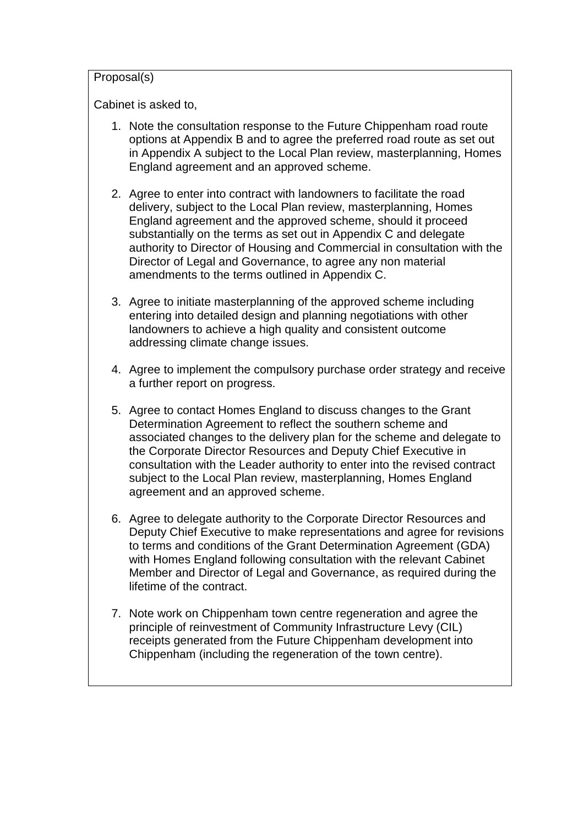#### Proposal(s)

Cabinet is asked to,

- 1. Note the consultation response to the Future Chippenham road route options at Appendix B and to agree the preferred road route as set out in Appendix A subject to the Local Plan review, masterplanning, Homes England agreement and an approved scheme.
- 2. Agree to enter into contract with landowners to facilitate the road delivery, subject to the Local Plan review, masterplanning, Homes England agreement and the approved scheme, should it proceed substantially on the terms as set out in Appendix C and delegate authority to Director of Housing and Commercial in consultation with the Director of Legal and Governance, to agree any non material amendments to the terms outlined in Appendix C.
- 3. Agree to initiate masterplanning of the approved scheme including entering into detailed design and planning negotiations with other landowners to achieve a high quality and consistent outcome addressing climate change issues.
- 4. Agree to implement the compulsory purchase order strategy and receive a further report on progress.
- 5. Agree to contact Homes England to discuss changes to the Grant Determination Agreement to reflect the southern scheme and associated changes to the delivery plan for the scheme and delegate to the Corporate Director Resources and Deputy Chief Executive in consultation with the Leader authority to enter into the revised contract subject to the Local Plan review, masterplanning, Homes England agreement and an approved scheme.
- 6. Agree to delegate authority to the Corporate Director Resources and Deputy Chief Executive to make representations and agree for revisions to terms and conditions of the Grant Determination Agreement (GDA) with Homes England following consultation with the relevant Cabinet Member and Director of Legal and Governance, as required during the lifetime of the contract.
- 7. Note work on Chippenham town centre regeneration and agree the principle of reinvestment of Community Infrastructure Levy (CIL) receipts generated from the Future Chippenham development into Chippenham (including the regeneration of the town centre).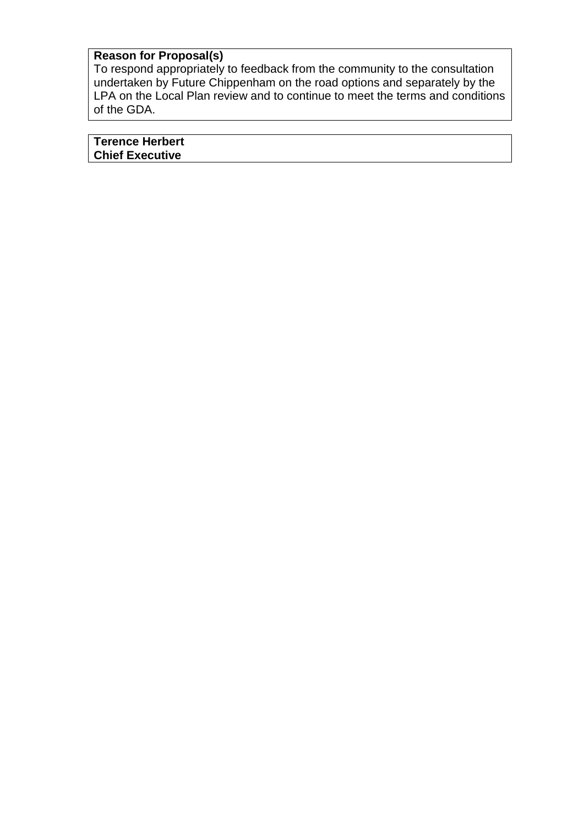# **Reason for Proposal(s)**

To respond appropriately to feedback from the community to the consultation undertaken by Future Chippenham on the road options and separately by the LPA on the Local Plan review and to continue to meet the terms and conditions of the GDA.

| <b>Terence Herbert</b> |  |
|------------------------|--|
| <b>Chief Executive</b> |  |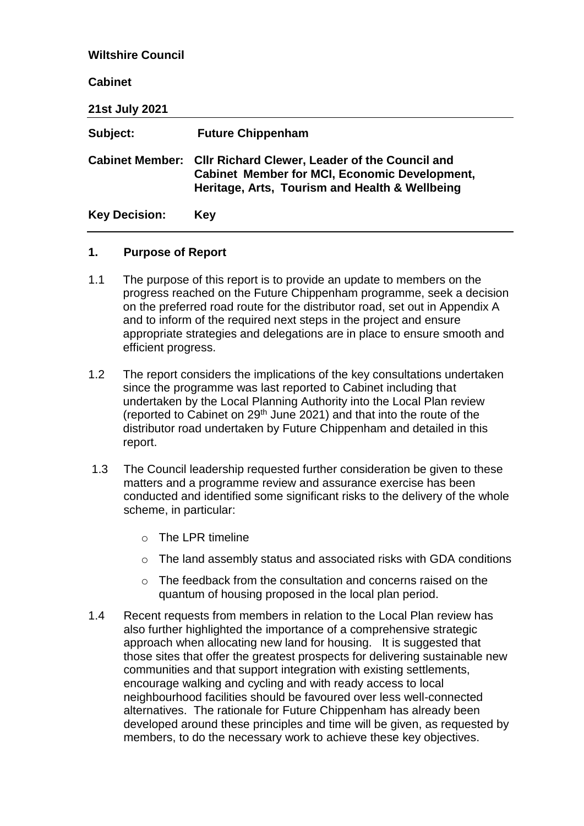| <b>Wiltshire Council</b> |                                                                                                                                                                 |
|--------------------------|-----------------------------------------------------------------------------------------------------------------------------------------------------------------|
| <b>Cabinet</b>           |                                                                                                                                                                 |
| <b>21st July 2021</b>    |                                                                                                                                                                 |
| Subject:                 | <b>Future Chippenham</b>                                                                                                                                        |
| <b>Cabinet Member:</b>   | <b>CIIr Richard Clewer, Leader of the Council and</b><br><b>Cabinet Member for MCI, Economic Development,</b><br>Heritage, Arts, Tourism and Health & Wellbeing |
| <b>Key Decision:</b>     | <b>Key</b>                                                                                                                                                      |

### **1. Purpose of Report**

- 1.1 The purpose of this report is to provide an update to members on the progress reached on the Future Chippenham programme, seek a decision on the preferred road route for the distributor road, set out in Appendix A and to inform of the required next steps in the project and ensure appropriate strategies and delegations are in place to ensure smooth and efficient progress.
- 1.2 The report considers the implications of the key consultations undertaken since the programme was last reported to Cabinet including that undertaken by the Local Planning Authority into the Local Plan review (reported to Cabinet on 29th June 2021) and that into the route of the distributor road undertaken by Future Chippenham and detailed in this report.
- 1.3 The Council leadership requested further consideration be given to these matters and a programme review and assurance exercise has been conducted and identified some significant risks to the delivery of the whole scheme, in particular:
	- o The LPR timeline
	- o The land assembly status and associated risks with GDA conditions
	- $\circ$  The feedback from the consultation and concerns raised on the quantum of housing proposed in the local plan period.
- 1.4 Recent requests from members in relation to the Local Plan review has also further highlighted the importance of a comprehensive strategic approach when allocating new land for housing. It is suggested that those sites that offer the greatest prospects for delivering sustainable new communities and that support integration with existing settlements, encourage walking and cycling and with ready access to local neighbourhood facilities should be favoured over less well-connected alternatives. The rationale for Future Chippenham has already been developed around these principles and time will be given, as requested by members, to do the necessary work to achieve these key objectives.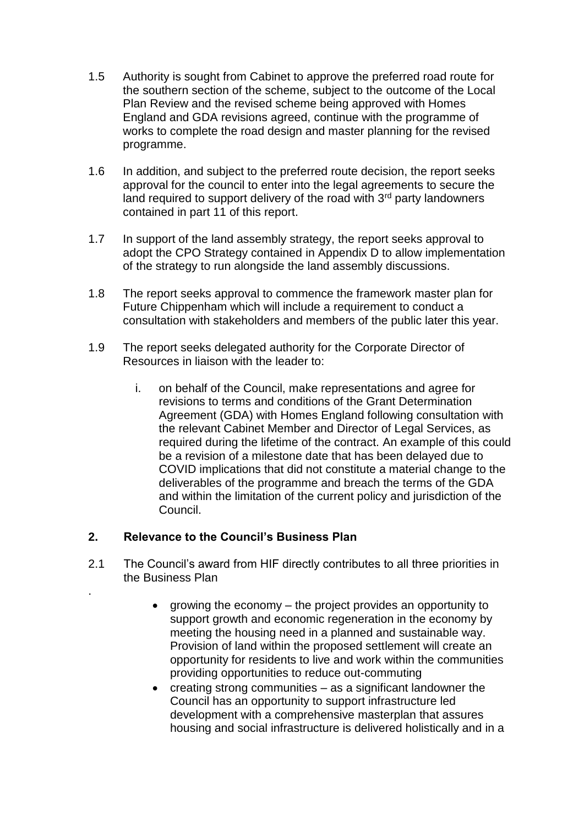- 1.5 Authority is sought from Cabinet to approve the preferred road route for the southern section of the scheme, subject to the outcome of the Local Plan Review and the revised scheme being approved with Homes England and GDA revisions agreed, continue with the programme of works to complete the road design and master planning for the revised programme.
- 1.6 In addition, and subject to the preferred route decision, the report seeks approval for the council to enter into the legal agreements to secure the land required to support delivery of the road with  $3<sup>rd</sup>$  party landowners contained in part 11 of this report.
- 1.7 In support of the land assembly strategy, the report seeks approval to adopt the CPO Strategy contained in Appendix D to allow implementation of the strategy to run alongside the land assembly discussions.
- 1.8 The report seeks approval to commence the framework master plan for Future Chippenham which will include a requirement to conduct a consultation with stakeholders and members of the public later this year.
- 1.9 The report seeks delegated authority for the Corporate Director of Resources in liaison with the leader to:
	- i. on behalf of the Council, make representations and agree for revisions to terms and conditions of the Grant Determination Agreement (GDA) with Homes England following consultation with the relevant Cabinet Member and Director of Legal Services, as required during the lifetime of the contract. An example of this could be a revision of a milestone date that has been delayed due to COVID implications that did not constitute a material change to the deliverables of the programme and breach the terms of the GDA and within the limitation of the current policy and jurisdiction of the Council.

## **2. Relevance to the Council's Business Plan**

.

- 2.1 The Council's award from HIF directly contributes to all three priorities in the Business Plan
	- growing the economy the project provides an opportunity to support growth and economic regeneration in the economy by meeting the housing need in a planned and sustainable way. Provision of land within the proposed settlement will create an opportunity for residents to live and work within the communities providing opportunities to reduce out-commuting
	- creating strong communities as a significant landowner the Council has an opportunity to support infrastructure led development with a comprehensive masterplan that assures housing and social infrastructure is delivered holistically and in a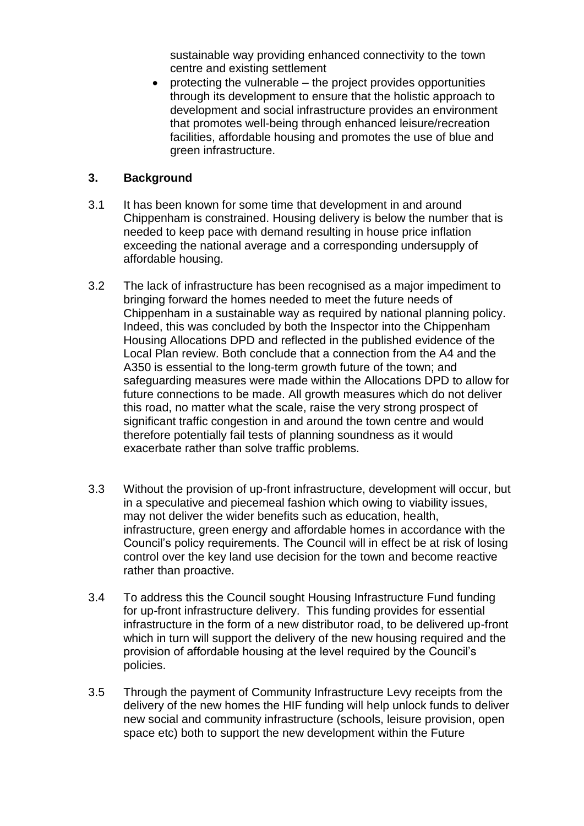sustainable way providing enhanced connectivity to the town centre and existing settlement

 $\bullet$  protecting the vulnerable – the project provides opportunities through its development to ensure that the holistic approach to development and social infrastructure provides an environment that promotes well-being through enhanced leisure/recreation facilities, affordable housing and promotes the use of blue and green infrastructure.

### **3. Background**

- 3.1 It has been known for some time that development in and around Chippenham is constrained. Housing delivery is below the number that is needed to keep pace with demand resulting in house price inflation exceeding the national average and a corresponding undersupply of affordable housing.
- 3.2 The lack of infrastructure has been recognised as a major impediment to bringing forward the homes needed to meet the future needs of Chippenham in a sustainable way as required by national planning policy. Indeed, this was concluded by both the Inspector into the Chippenham Housing Allocations DPD and reflected in the published evidence of the Local Plan review. Both conclude that a connection from the A4 and the A350 is essential to the long-term growth future of the town; and safeguarding measures were made within the Allocations DPD to allow for future connections to be made. All growth measures which do not deliver this road, no matter what the scale, raise the very strong prospect of significant traffic congestion in and around the town centre and would therefore potentially fail tests of planning soundness as it would exacerbate rather than solve traffic problems.
- 3.3 Without the provision of up-front infrastructure, development will occur, but in a speculative and piecemeal fashion which owing to viability issues, may not deliver the wider benefits such as education, health, infrastructure, green energy and affordable homes in accordance with the Council's policy requirements. The Council will in effect be at risk of losing control over the key land use decision for the town and become reactive rather than proactive.
- 3.4 To address this the Council sought Housing Infrastructure Fund funding for up-front infrastructure delivery. This funding provides for essential infrastructure in the form of a new distributor road, to be delivered up-front which in turn will support the delivery of the new housing required and the provision of affordable housing at the level required by the Council's policies.
- 3.5 Through the payment of Community Infrastructure Levy receipts from the delivery of the new homes the HIF funding will help unlock funds to deliver new social and community infrastructure (schools, leisure provision, open space etc) both to support the new development within the Future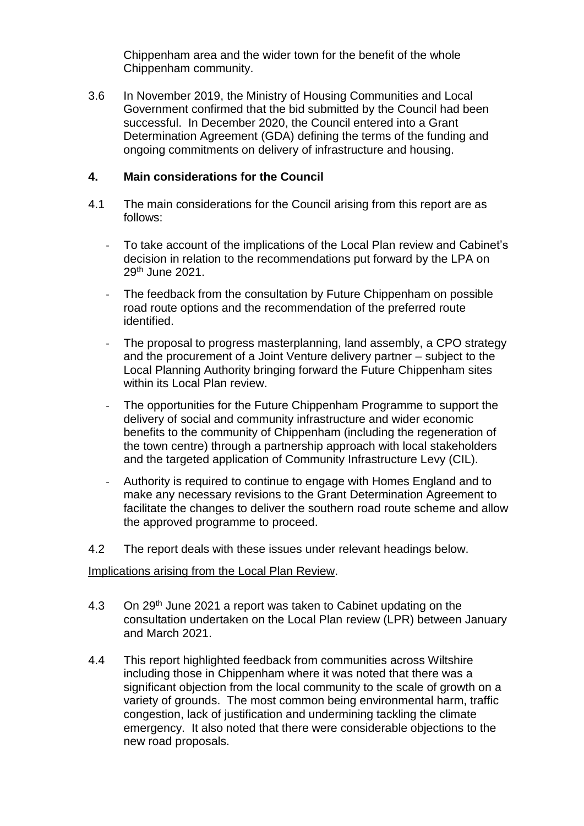Chippenham area and the wider town for the benefit of the whole Chippenham community.

3.6 In November 2019, the Ministry of Housing Communities and Local Government confirmed that the bid submitted by the Council had been successful. In December 2020, the Council entered into a Grant Determination Agreement (GDA) defining the terms of the funding and ongoing commitments on delivery of infrastructure and housing.

#### **4. Main considerations for the Council**

- 4.1 The main considerations for the Council arising from this report are as follows:
	- To take account of the implications of the Local Plan review and Cabinet's decision in relation to the recommendations put forward by the LPA on 29th June 2021.
	- The feedback from the consultation by Future Chippenham on possible road route options and the recommendation of the preferred route identified.
	- The proposal to progress masterplanning, land assembly, a CPO strategy and the procurement of a Joint Venture delivery partner – subject to the Local Planning Authority bringing forward the Future Chippenham sites within its Local Plan review.
	- The opportunities for the Future Chippenham Programme to support the delivery of social and community infrastructure and wider economic benefits to the community of Chippenham (including the regeneration of the town centre) through a partnership approach with local stakeholders and the targeted application of Community Infrastructure Levy (CIL).
	- Authority is required to continue to engage with Homes England and to make any necessary revisions to the Grant Determination Agreement to facilitate the changes to deliver the southern road route scheme and allow the approved programme to proceed.
- 4.2 The report deals with these issues under relevant headings below.

#### Implications arising from the Local Plan Review.

- 4.3 On 29<sup>th</sup> June 2021 a report was taken to Cabinet updating on the consultation undertaken on the Local Plan review (LPR) between January and March 2021.
- 4.4 This report highlighted feedback from communities across Wiltshire including those in Chippenham where it was noted that there was a significant objection from the local community to the scale of growth on a variety of grounds. The most common being environmental harm, traffic congestion, lack of justification and undermining tackling the climate emergency. It also noted that there were considerable objections to the new road proposals.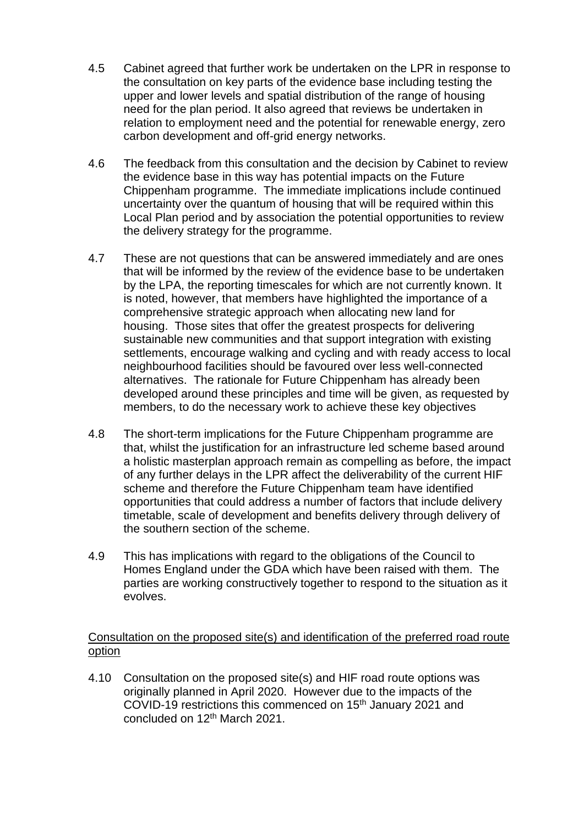- 4.5 Cabinet agreed that further work be undertaken on the LPR in response to the consultation on key parts of the evidence base including testing the upper and lower levels and spatial distribution of the range of housing need for the plan period. It also agreed that reviews be undertaken in relation to employment need and the potential for renewable energy, zero carbon development and off-grid energy networks.
- 4.6 The feedback from this consultation and the decision by Cabinet to review the evidence base in this way has potential impacts on the Future Chippenham programme. The immediate implications include continued uncertainty over the quantum of housing that will be required within this Local Plan period and by association the potential opportunities to review the delivery strategy for the programme.
- 4.7 These are not questions that can be answered immediately and are ones that will be informed by the review of the evidence base to be undertaken by the LPA, the reporting timescales for which are not currently known. It is noted, however, that members have highlighted the importance of a comprehensive strategic approach when allocating new land for housing. Those sites that offer the greatest prospects for delivering sustainable new communities and that support integration with existing settlements, encourage walking and cycling and with ready access to local neighbourhood facilities should be favoured over less well-connected alternatives. The rationale for Future Chippenham has already been developed around these principles and time will be given, as requested by members, to do the necessary work to achieve these key objectives
- 4.8 The short-term implications for the Future Chippenham programme are that, whilst the justification for an infrastructure led scheme based around a holistic masterplan approach remain as compelling as before, the impact of any further delays in the LPR affect the deliverability of the current HIF scheme and therefore the Future Chippenham team have identified opportunities that could address a number of factors that include delivery timetable, scale of development and benefits delivery through delivery of the southern section of the scheme.
- 4.9 This has implications with regard to the obligations of the Council to Homes England under the GDA which have been raised with them. The parties are working constructively together to respond to the situation as it evolves.

### Consultation on the proposed site(s) and identification of the preferred road route option

4.10 Consultation on the proposed site(s) and HIF road route options was originally planned in April 2020. However due to the impacts of the COVID-19 restrictions this commenced on 15<sup>th</sup> January 2021 and concluded on 12th March 2021.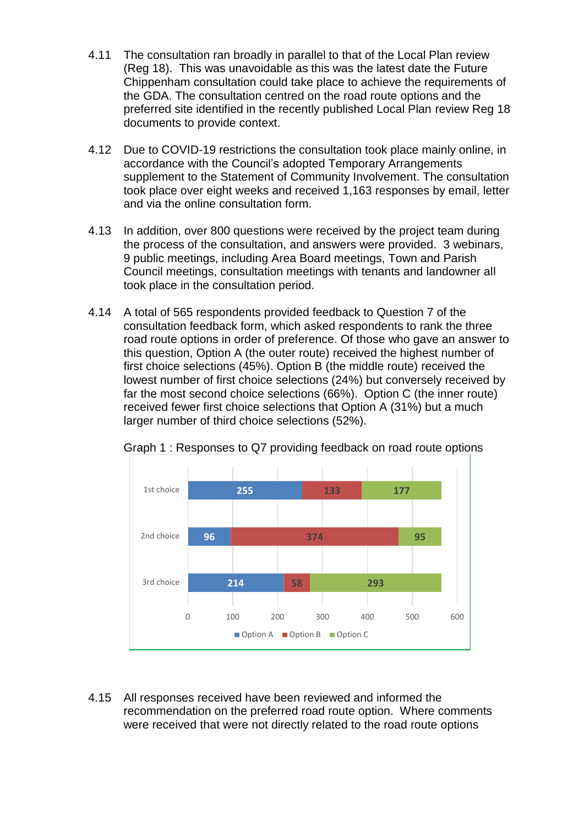- 4.11 The consultation ran broadly in parallel to that of the Local Plan review (Reg 18). This was unavoidable as this was the latest date the Future Chippenham consultation could take place to achieve the requirements of the GDA. The consultation centred on the road route options and the preferred site identified in the recently published Local Plan review Reg 18 documents to provide context.
- 4.12 Due to COVID-19 restrictions the consultation took place mainly online, in accordance with the Council's adopted Temporary Arrangements supplement to the Statement of Community Involvement. The consultation took place over eight weeks and received 1,163 responses by email, letter and via the online consultation form.
- 4.13 In addition, over 800 questions were received by the project team during the process of the consultation, and answers were provided. 3 webinars, 9 public meetings, including Area Board meetings, Town and Parish Council meetings, consultation meetings with tenants and landowner all took place in the consultation period.
- 4.14 A total of 565 respondents provided feedback to Question 7 of the consultation feedback form, which asked respondents to rank the three road route options in order of preference. Of those who gave an answer to this question, Option A (the outer route) received the highest number of first choice selections (45%). Option B (the middle route) received the lowest number of first choice selections (24%) but conversely received by far the most second choice selections (66%). Option C (the inner route) received fewer first choice selections that Option A (31%) but a much larger number of third choice selections (52%).



Graph 1 : Responses to Q7 providing feedback on road route options

4.15 All responses received have been reviewed and informed the recommendation on the preferred road route option. Where comments were received that were not directly related to the road route options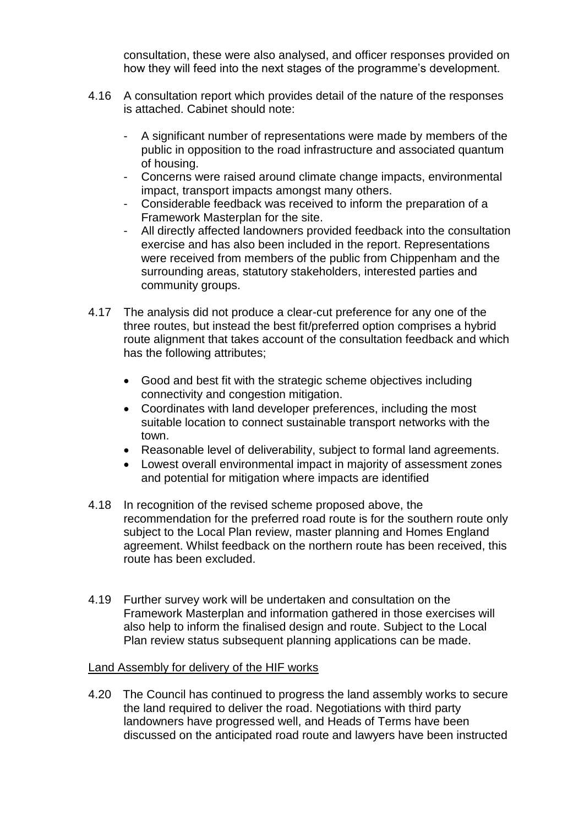consultation, these were also analysed, and officer responses provided on how they will feed into the next stages of the programme's development.

- 4.16 A consultation report which provides detail of the nature of the responses is attached. Cabinet should note:
	- A significant number of representations were made by members of the public in opposition to the road infrastructure and associated quantum of housing.
	- Concerns were raised around climate change impacts, environmental impact, transport impacts amongst many others.
	- Considerable feedback was received to inform the preparation of a Framework Masterplan for the site.
	- All directly affected landowners provided feedback into the consultation exercise and has also been included in the report. Representations were received from members of the public from Chippenham and the surrounding areas, statutory stakeholders, interested parties and community groups.
- 4.17 The analysis did not produce a clear-cut preference for any one of the three routes, but instead the best fit/preferred option comprises a hybrid route alignment that takes account of the consultation feedback and which has the following attributes;
	- Good and best fit with the strategic scheme objectives including connectivity and congestion mitigation.
	- Coordinates with land developer preferences, including the most suitable location to connect sustainable transport networks with the town.
	- Reasonable level of deliverability, subject to formal land agreements.
	- Lowest overall environmental impact in majority of assessment zones and potential for mitigation where impacts are identified
- 4.18 In recognition of the revised scheme proposed above, the recommendation for the preferred road route is for the southern route only subject to the Local Plan review, master planning and Homes England agreement. Whilst feedback on the northern route has been received, this route has been excluded.
- 4.19 Further survey work will be undertaken and consultation on the Framework Masterplan and information gathered in those exercises will also help to inform the finalised design and route. Subject to the Local Plan review status subsequent planning applications can be made.

#### Land Assembly for delivery of the HIF works

4.20 The Council has continued to progress the land assembly works to secure the land required to deliver the road. Negotiations with third party landowners have progressed well, and Heads of Terms have been discussed on the anticipated road route and lawyers have been instructed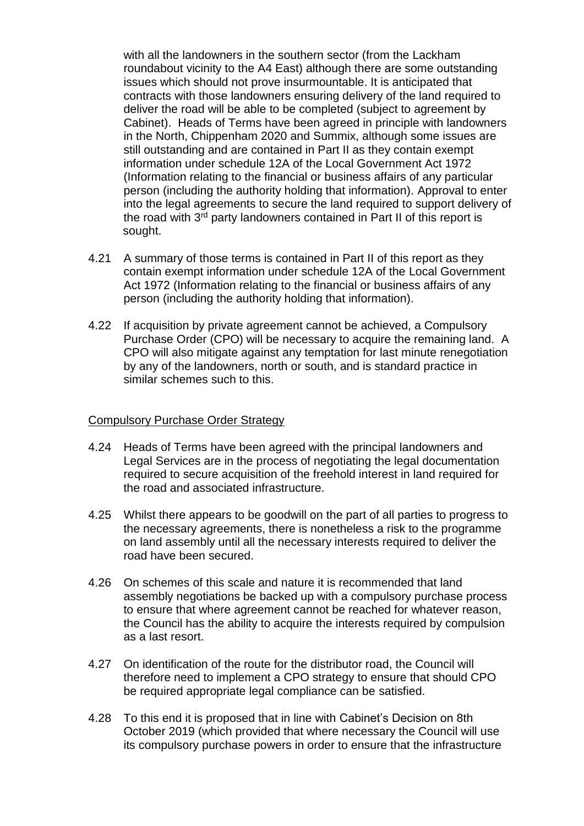with all the landowners in the southern sector (from the Lackham roundabout vicinity to the A4 East) although there are some outstanding issues which should not prove insurmountable. It is anticipated that contracts with those landowners ensuring delivery of the land required to deliver the road will be able to be completed (subject to agreement by Cabinet). Heads of Terms have been agreed in principle with landowners in the North, Chippenham 2020 and Summix, although some issues are still outstanding and are contained in Part II as they contain exempt information under schedule 12A of the Local Government Act 1972 (Information relating to the financial or business affairs of any particular person (including the authority holding that information). Approval to enter into the legal agreements to secure the land required to support delivery of the road with 3<sup>rd</sup> party landowners contained in Part II of this report is sought.

- 4.21 A summary of those terms is contained in Part II of this report as they contain exempt information under schedule 12A of the Local Government Act 1972 (Information relating to the financial or business affairs of any person (including the authority holding that information).
- 4.22 If acquisition by private agreement cannot be achieved, a Compulsory Purchase Order (CPO) will be necessary to acquire the remaining land. A CPO will also mitigate against any temptation for last minute renegotiation by any of the landowners, north or south, and is standard practice in similar schemes such to this.

#### Compulsory Purchase Order Strategy

- 4.24 Heads of Terms have been agreed with the principal landowners and Legal Services are in the process of negotiating the legal documentation required to secure acquisition of the freehold interest in land required for the road and associated infrastructure.
- 4.25 Whilst there appears to be goodwill on the part of all parties to progress to the necessary agreements, there is nonetheless a risk to the programme on land assembly until all the necessary interests required to deliver the road have been secured.
- 4.26 On schemes of this scale and nature it is recommended that land assembly negotiations be backed up with a compulsory purchase process to ensure that where agreement cannot be reached for whatever reason, the Council has the ability to acquire the interests required by compulsion as a last resort.
- 4.27 On identification of the route for the distributor road, the Council will therefore need to implement a CPO strategy to ensure that should CPO be required appropriate legal compliance can be satisfied.
- 4.28 To this end it is proposed that in line with Cabinet's Decision on 8th October 2019 (which provided that where necessary the Council will use its compulsory purchase powers in order to ensure that the infrastructure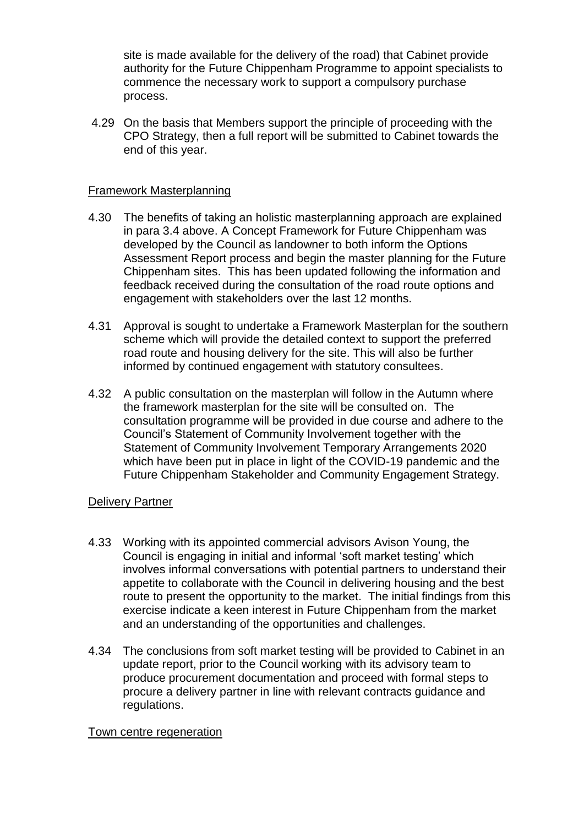site is made available for the delivery of the road) that Cabinet provide authority for the Future Chippenham Programme to appoint specialists to commence the necessary work to support a compulsory purchase process.

4.29 On the basis that Members support the principle of proceeding with the CPO Strategy, then a full report will be submitted to Cabinet towards the end of this year.

### Framework Masterplanning

- 4.30 The benefits of taking an holistic masterplanning approach are explained in para 3.4 above. A Concept Framework for Future Chippenham was developed by the Council as landowner to both inform the Options Assessment Report process and begin the master planning for the Future Chippenham sites. This has been updated following the information and feedback received during the consultation of the road route options and engagement with stakeholders over the last 12 months.
- 4.31 Approval is sought to undertake a Framework Masterplan for the southern scheme which will provide the detailed context to support the preferred road route and housing delivery for the site. This will also be further informed by continued engagement with statutory consultees.
- 4.32 A public consultation on the masterplan will follow in the Autumn where the framework masterplan for the site will be consulted on. The consultation programme will be provided in due course and adhere to the Council's Statement of Community Involvement together with the Statement of Community Involvement Temporary Arrangements 2020 which have been put in place in light of the COVID-19 pandemic and the Future Chippenham Stakeholder and Community Engagement Strategy.

### Delivery Partner

- 4.33 Working with its appointed commercial advisors Avison Young, the Council is engaging in initial and informal 'soft market testing' which involves informal conversations with potential partners to understand their appetite to collaborate with the Council in delivering housing and the best route to present the opportunity to the market. The initial findings from this exercise indicate a keen interest in Future Chippenham from the market and an understanding of the opportunities and challenges.
- 4.34 The conclusions from soft market testing will be provided to Cabinet in an update report, prior to the Council working with its advisory team to produce procurement documentation and proceed with formal steps to procure a delivery partner in line with relevant contracts guidance and regulations.

### Town centre regeneration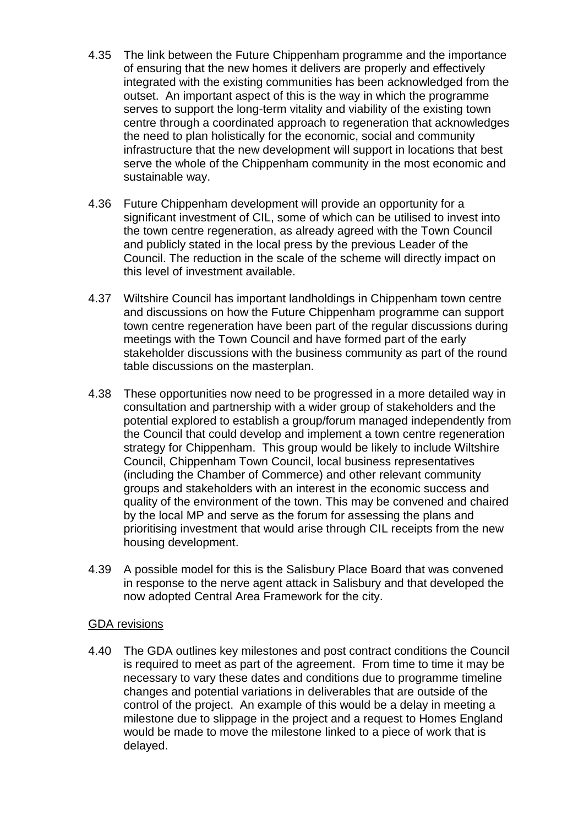- 4.35 The link between the Future Chippenham programme and the importance of ensuring that the new homes it delivers are properly and effectively integrated with the existing communities has been acknowledged from the outset. An important aspect of this is the way in which the programme serves to support the long-term vitality and viability of the existing town centre through a coordinated approach to regeneration that acknowledges the need to plan holistically for the economic, social and community infrastructure that the new development will support in locations that best serve the whole of the Chippenham community in the most economic and sustainable way.
- 4.36 Future Chippenham development will provide an opportunity for a significant investment of CIL, some of which can be utilised to invest into the town centre regeneration, as already agreed with the Town Council and publicly stated in the local press by the previous Leader of the Council. The reduction in the scale of the scheme will directly impact on this level of investment available.
- 4.37 Wiltshire Council has important landholdings in Chippenham town centre and discussions on how the Future Chippenham programme can support town centre regeneration have been part of the regular discussions during meetings with the Town Council and have formed part of the early stakeholder discussions with the business community as part of the round table discussions on the masterplan.
- 4.38 These opportunities now need to be progressed in a more detailed way in consultation and partnership with a wider group of stakeholders and the potential explored to establish a group/forum managed independently from the Council that could develop and implement a town centre regeneration strategy for Chippenham. This group would be likely to include Wiltshire Council, Chippenham Town Council, local business representatives (including the Chamber of Commerce) and other relevant community groups and stakeholders with an interest in the economic success and quality of the environment of the town. This may be convened and chaired by the local MP and serve as the forum for assessing the plans and prioritising investment that would arise through CIL receipts from the new housing development.
- 4.39 A possible model for this is the Salisbury Place Board that was convened in response to the nerve agent attack in Salisbury and that developed the now adopted Central Area Framework for the city.

#### GDA revisions

4.40 The GDA outlines key milestones and post contract conditions the Council is required to meet as part of the agreement. From time to time it may be necessary to vary these dates and conditions due to programme timeline changes and potential variations in deliverables that are outside of the control of the project. An example of this would be a delay in meeting a milestone due to slippage in the project and a request to Homes England would be made to move the milestone linked to a piece of work that is delayed.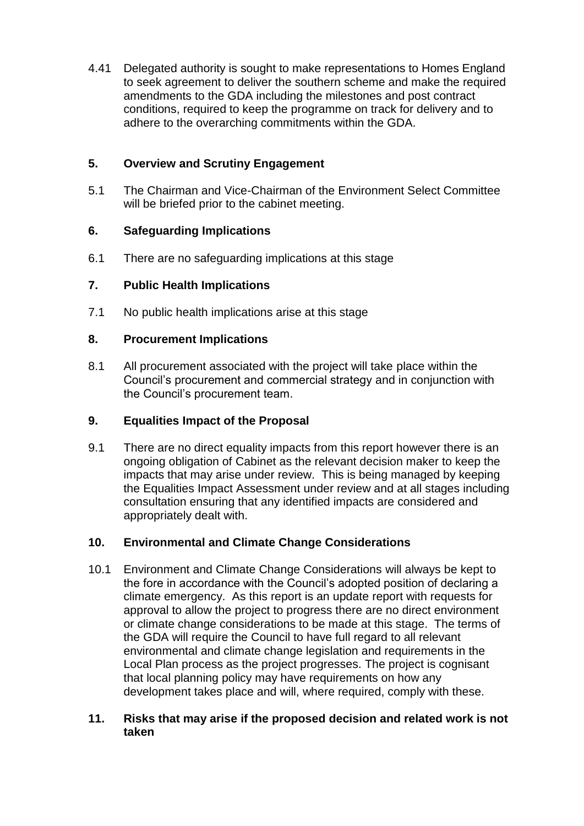4.41 Delegated authority is sought to make representations to Homes England to seek agreement to deliver the southern scheme and make the required amendments to the GDA including the milestones and post contract conditions, required to keep the programme on track for delivery and to adhere to the overarching commitments within the GDA.

## **5. Overview and Scrutiny Engagement**

5.1 The Chairman and Vice-Chairman of the Environment Select Committee will be briefed prior to the cabinet meeting.

## **6. Safeguarding Implications**

6.1 There are no safeguarding implications at this stage

## **7. Public Health Implications**

7.1 No public health implications arise at this stage

### **8. Procurement Implications**

8.1 All procurement associated with the project will take place within the Council's procurement and commercial strategy and in conjunction with the Council's procurement team.

## **9. Equalities Impact of the Proposal**

9.1 There are no direct equality impacts from this report however there is an ongoing obligation of Cabinet as the relevant decision maker to keep the impacts that may arise under review. This is being managed by keeping the Equalities Impact Assessment under review and at all stages including consultation ensuring that any identified impacts are considered and appropriately dealt with.

## **10. Environmental and Climate Change Considerations**

10.1 Environment and Climate Change Considerations will always be kept to the fore in accordance with the Council's adopted position of declaring a climate emergency. As this report is an update report with requests for approval to allow the project to progress there are no direct environment or climate change considerations to be made at this stage. The terms of the GDA will require the Council to have full regard to all relevant environmental and climate change legislation and requirements in the Local Plan process as the project progresses. The project is cognisant that local planning policy may have requirements on how any development takes place and will, where required, comply with these.

### **11. Risks that may arise if the proposed decision and related work is not taken**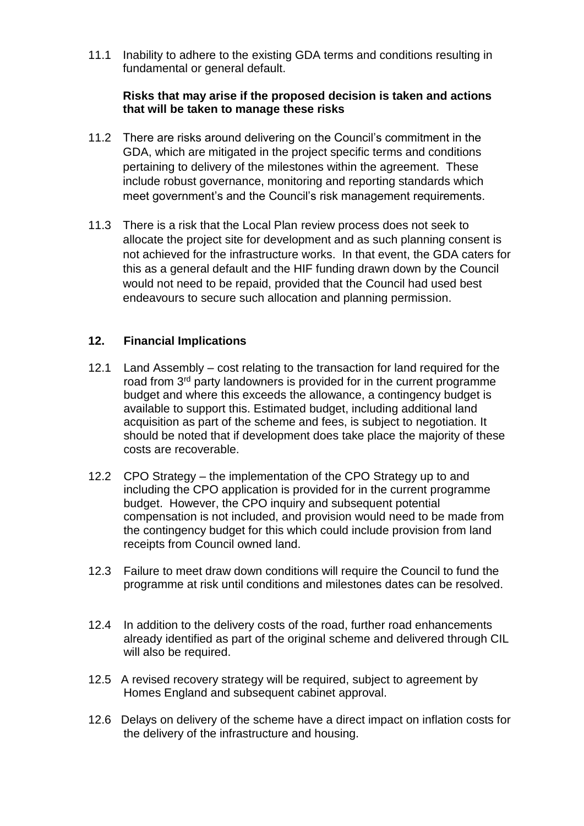11.1 Inability to adhere to the existing GDA terms and conditions resulting in fundamental or general default.

### **Risks that may arise if the proposed decision is taken and actions that will be taken to manage these risks**

- 11.2 There are risks around delivering on the Council's commitment in the GDA, which are mitigated in the project specific terms and conditions pertaining to delivery of the milestones within the agreement. These include robust governance, monitoring and reporting standards which meet government's and the Council's risk management requirements.
- 11.3 There is a risk that the Local Plan review process does not seek to allocate the project site for development and as such planning consent is not achieved for the infrastructure works. In that event, the GDA caters for this as a general default and the HIF funding drawn down by the Council would not need to be repaid, provided that the Council had used best endeavours to secure such allocation and planning permission.

### **12. Financial Implications**

- 12.1 Land Assembly cost relating to the transaction for land required for the road from 3rd party landowners is provided for in the current programme budget and where this exceeds the allowance, a contingency budget is available to support this. Estimated budget, including additional land acquisition as part of the scheme and fees, is subject to negotiation. It should be noted that if development does take place the majority of these costs are recoverable.
- 12.2 CPO Strategy the implementation of the CPO Strategy up to and including the CPO application is provided for in the current programme budget. However, the CPO inquiry and subsequent potential compensation is not included, and provision would need to be made from the contingency budget for this which could include provision from land receipts from Council owned land.
- 12.3 Failure to meet draw down conditions will require the Council to fund the programme at risk until conditions and milestones dates can be resolved.
- 12.4 In addition to the delivery costs of the road, further road enhancements already identified as part of the original scheme and delivered through CIL will also be required.
- 12.5 A revised recovery strategy will be required, subject to agreement by Homes England and subsequent cabinet approval.
- 12.6 Delays on delivery of the scheme have a direct impact on inflation costs for the delivery of the infrastructure and housing.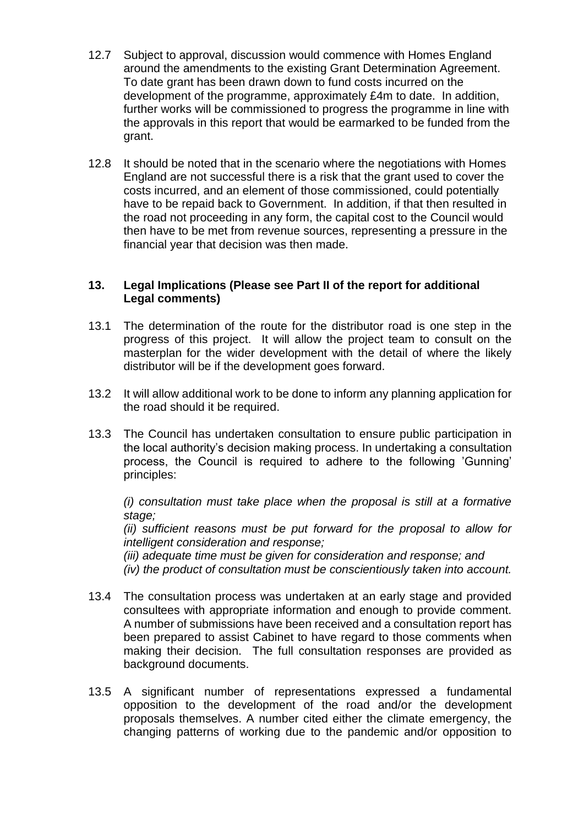- 12.7 Subject to approval, discussion would commence with Homes England around the amendments to the existing Grant Determination Agreement. To date grant has been drawn down to fund costs incurred on the development of the programme, approximately £4m to date. In addition, further works will be commissioned to progress the programme in line with the approvals in this report that would be earmarked to be funded from the grant.
- 12.8 It should be noted that in the scenario where the negotiations with Homes England are not successful there is a risk that the grant used to cover the costs incurred, and an element of those commissioned, could potentially have to be repaid back to Government. In addition, if that then resulted in the road not proceeding in any form, the capital cost to the Council would then have to be met from revenue sources, representing a pressure in the financial year that decision was then made.

### **13. Legal Implications (Please see Part II of the report for additional Legal comments)**

- 13.1 The determination of the route for the distributor road is one step in the progress of this project. It will allow the project team to consult on the masterplan for the wider development with the detail of where the likely distributor will be if the development goes forward.
- 13.2 It will allow additional work to be done to inform any planning application for the road should it be required.
- 13.3 The Council has undertaken consultation to ensure public participation in the local authority's decision making process. In undertaking a consultation process, the Council is required to adhere to the following 'Gunning' principles:

*(i) consultation must take place when the proposal is still at a formative stage;*

*(ii) sufficient reasons must be put forward for the proposal to allow for intelligent consideration and response;*

*(iii) adequate time must be given for consideration and response; and (iv) the product of consultation must be conscientiously taken into account.*

- 13.4 The consultation process was undertaken at an early stage and provided consultees with appropriate information and enough to provide comment. A number of submissions have been received and a consultation report has been prepared to assist Cabinet to have regard to those comments when making their decision. The full consultation responses are provided as background documents.
- 13.5 A significant number of representations expressed a fundamental opposition to the development of the road and/or the development proposals themselves. A number cited either the climate emergency, the changing patterns of working due to the pandemic and/or opposition to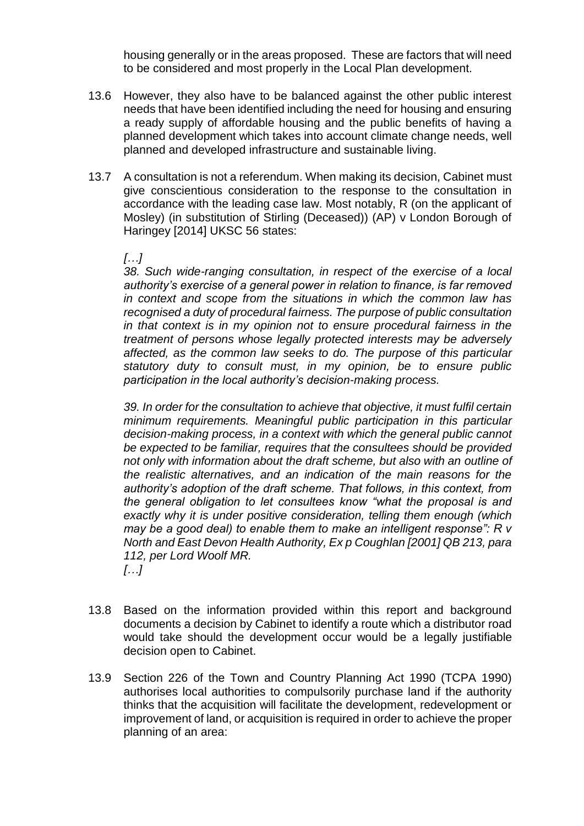housing generally or in the areas proposed. These are factors that will need to be considered and most properly in the Local Plan development.

- 13.6 However, they also have to be balanced against the other public interest needs that have been identified including the need for housing and ensuring a ready supply of affordable housing and the public benefits of having a planned development which takes into account climate change needs, well planned and developed infrastructure and sustainable living.
- 13.7 A consultation is not a referendum. When making its decision, Cabinet must give conscientious consideration to the response to the consultation in accordance with the leading case law. Most notably, R (on the applicant of Mosley) (in substitution of Stirling (Deceased)) (AP) v London Borough of Haringey [2014] UKSC 56 states:

#### *[…]*

*38. Such wide-ranging consultation, in respect of the exercise of a local authority's exercise of a general power in relation to finance, is far removed in context and scope from the situations in which the common law has recognised a duty of procedural fairness. The purpose of public consultation in that context is in my opinion not to ensure procedural fairness in the treatment of persons whose legally protected interests may be adversely affected, as the common law seeks to do. The purpose of this particular statutory duty to consult must, in my opinion, be to ensure public participation in the local authority's decision-making process.*

*39. In order for the consultation to achieve that objective, it must fulfil certain minimum requirements. Meaningful public participation in this particular decision-making process, in a context with which the general public cannot be expected to be familiar, requires that the consultees should be provided not only with information about the draft scheme, but also with an outline of the realistic alternatives, and an indication of the main reasons for the authority's adoption of the draft scheme. That follows, in this context, from the general obligation to let consultees know "what the proposal is and exactly why it is under positive consideration, telling them enough (which may be a good deal) to enable them to make an intelligent response": R v North and East Devon Health Authority, Ex p Coughlan [2001] QB 213, para 112, per Lord Woolf MR. […]* 

- 13.8 Based on the information provided within this report and background documents a decision by Cabinet to identify a route which a distributor road would take should the development occur would be a legally justifiable decision open to Cabinet.
- 13.9 [Section 226](https://uk.practicallaw.thomsonreuters.com/8-534-0905?originationContext=document&transitionType=PLDocumentLink&contextData=(sc.Default)) of the Town and Country Planning Act 1990 (TCPA 1990) authorises local authorities to compulsorily purchase land if the authority thinks that the acquisition will facilitate the development, redevelopment or improvement of land, or acquisition is required in order to achieve the proper planning of an area: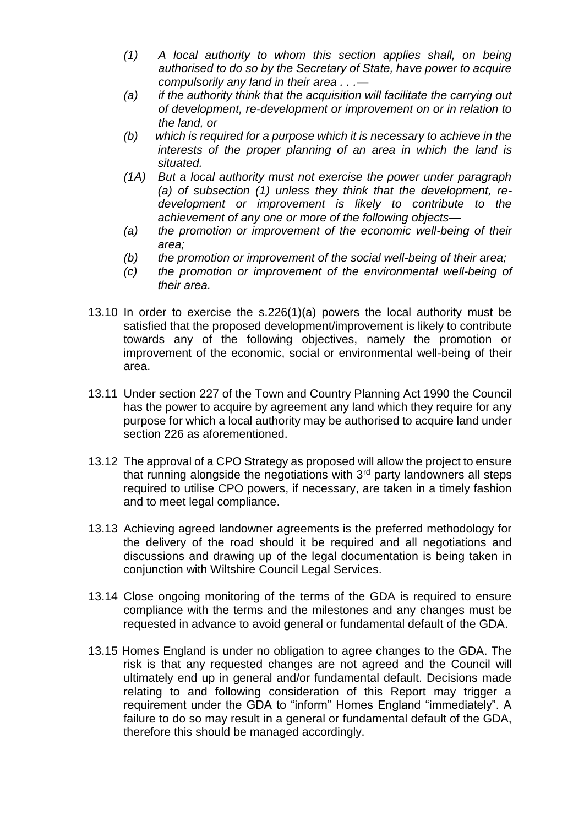- *(1) A local authority to whom this section applies shall, on being authorised to do so by the Secretary of State, have power to acquire compulsorily any land in their area . . .—*
- *(a) if the authority think that the acquisition will facilitate the carrying out of development, re-development or improvement on or in relation to the land, or*
- *(b) which is required for a purpose which it is necessary to achieve in the interests of the proper planning of an area in which the land is situated.*
- *(1A) But a local authority must not exercise the power under paragraph (a) of subsection (1) unless they think that the development, redevelopment or improvement is likely to contribute to the achievement of any one or more of the following objects—*
- *(a) the promotion or improvement of the economic well-being of their area;*
- *(b) the promotion or improvement of the social well-being of their area;*
- *(c) the promotion or improvement of the environmental well-being of their area.*
- 13.10 In order to exercise the s.226(1)(a) powers the local authority must be satisfied that the proposed development/improvement is likely to contribute towards any of the following objectives, namely the promotion or improvement of the economic, social or environmental well-being of their area.
- 13.11 Under section 227 of the Town and Country Planning Act 1990 the Council has the power to acquire by agreement any land which they require for any purpose for which a local authority may be authorised to acquire land under section 226 as aforementioned.
- 13.12 The approval of a CPO Strategy as proposed will allow the project to ensure that running alongside the negotiations with  $3<sup>rd</sup>$  party landowners all steps required to utilise CPO powers, if necessary, are taken in a timely fashion and to meet legal compliance.
- 13.13 Achieving agreed landowner agreements is the preferred methodology for the delivery of the road should it be required and all negotiations and discussions and drawing up of the legal documentation is being taken in conjunction with Wiltshire Council Legal Services.
- 13.14 Close ongoing monitoring of the terms of the GDA is required to ensure compliance with the terms and the milestones and any changes must be requested in advance to avoid general or fundamental default of the GDA.
- 13.15 Homes England is under no obligation to agree changes to the GDA. The risk is that any requested changes are not agreed and the Council will ultimately end up in general and/or fundamental default. Decisions made relating to and following consideration of this Report may trigger a requirement under the GDA to "inform" Homes England "immediately". A failure to do so may result in a general or fundamental default of the GDA, therefore this should be managed accordingly.